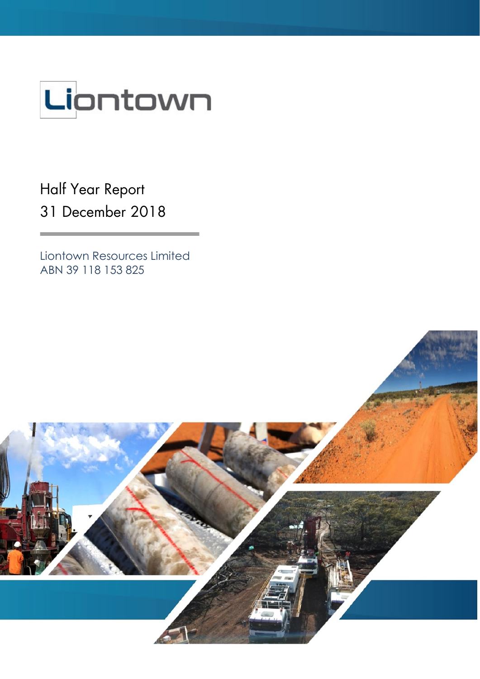

Half Year Report 31 December 2018

Liontown Resources Limited ABN 39 118 153 825

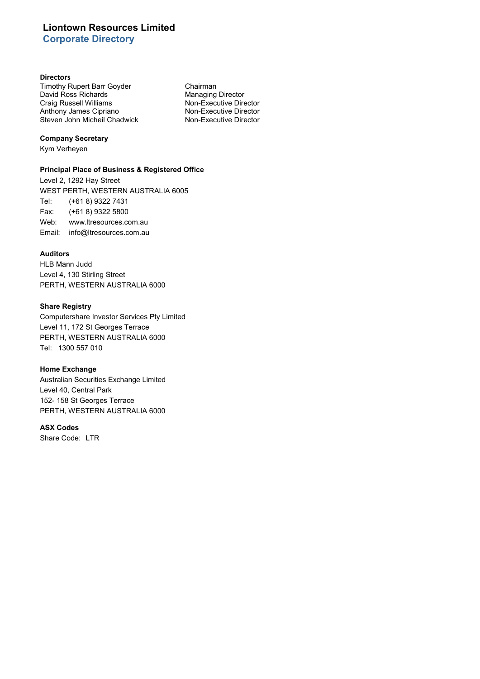# **Liontown Resources Limited Corporate Directory**

#### **Directors**

Timothy Rupert Barr Goyder **Chairman**<br>
David Ross Richards **Chairman**<br>
Managing Director David Ross Richards<br>
Craig Russell Williams<br>
Craig Russell Williams<br>
Mon-Executive Director Craig Russell Williams<br>
Anthony James Cipriano<br>
Non-Executive Director Anthony James Cipriano<br>
Steven John Micheil Chadwick<br>
Non-Executive Director Steven John Micheil Chadwick

#### **Company Secretary**

Kym Verheyen

#### **Principal Place of Business & Registered Office**

Level 2, 1292 Hay Street WEST PERTH, WESTERN AUSTRALIA 6005 Tel: (+61 8) 9322 7431 Fax: (+61 8) 9322 5800 Web: www.ltresources.com.au Email: info@ltresources.com.au

### **Auditors**

HLB Mann Judd Level 4, 130 Stirling Street PERTH, WESTERN AUSTRALIA 6000

### **Share Registry**

Computershare Investor Services Pty Limited Level 11, 172 St Georges Terrace PERTH, WESTERN AUSTRALIA 6000 Tel: 1300 557 010

### **Home Exchange**

Australian Securities Exchange Limited Level 40, Central Park 152- 158 St Georges Terrace PERTH, WESTERN AUSTRALIA 6000

#### **ASX Codes**

Share Code: LTR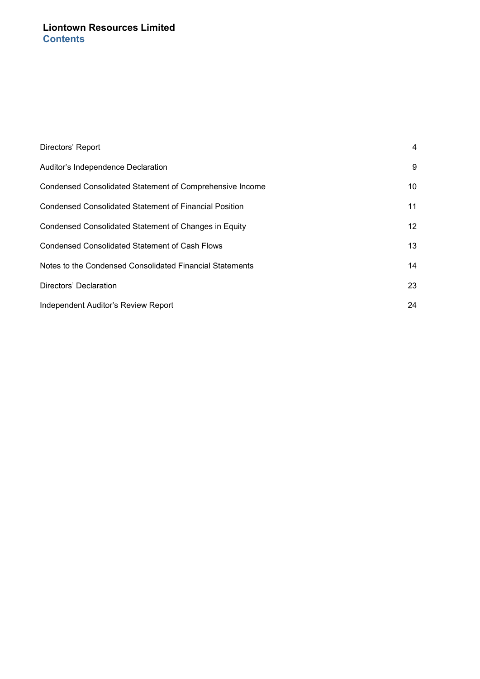# **Liontown Resources Limited Contents**

| Directors' Report                                        | 4               |
|----------------------------------------------------------|-----------------|
| Auditor's Independence Declaration                       | 9               |
| Condensed Consolidated Statement of Comprehensive Income | 10              |
| Condensed Consolidated Statement of Financial Position   | 11              |
| Condensed Consolidated Statement of Changes in Equity    | 12 <sup>1</sup> |
| <b>Condensed Consolidated Statement of Cash Flows</b>    | 13              |
| Notes to the Condensed Consolidated Financial Statements | 14              |
| Directors' Declaration                                   | 23              |
| Independent Auditor's Review Report                      | 24              |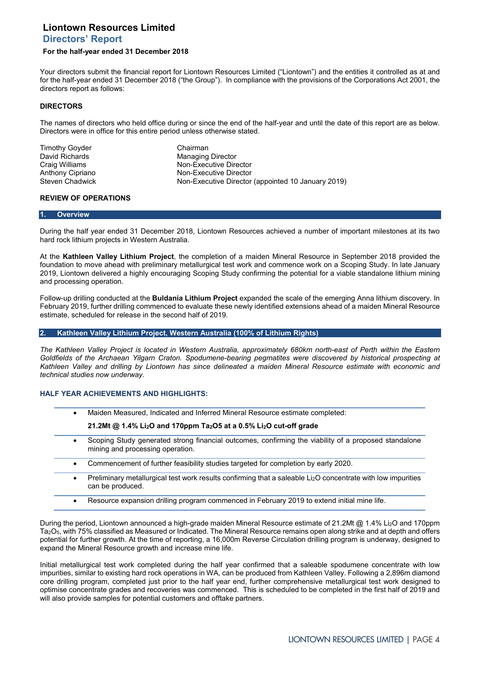#### **For the half-year ended 31 December 2018**

Your directors submit the financial report for Liontown Resources Limited ("Liontown") and the entities it controlled as at and for the half-year ended 31 December 2018 ("the Group"). In compliance with the provisions of the Corporations Act 2001, the directors report as follows:

#### **DIRECTORS**

The names of directors who held office during or since the end of the half-year and until the date of this report are as below. Directors were in office for this entire period unless otherwise stated.

Timothy Goyder **Chairman**<br>
David Richards **Chairman**<br>
David Richards **Chairman** 

David Richards **Managing Director**<br>
Craig Williams Managing Director<br>
Mon-Executive Director Craig Williams **Non-Executive Director**<br>
Anthony Cipriano **Non-Executive Director** Anthony Cipriano<br>
Steven Chadwick<br>
Non-Executive Director Non-Executive Director (appointed 10 January 2019)

### **REVIEW OF OPERATIONS**

#### **1. Overview**

During the half year ended 31 December 2018, Liontown Resources achieved a number of important milestones at its two hard rock lithium projects in Western Australia.

At the **Kathleen Valley Lithium Project**, the completion of a maiden Mineral Resource in September 2018 provided the foundation to move ahead with preliminary metallurgical test work and commence work on a Scoping Study. In late January 2019, Liontown delivered a highly encouraging Scoping Study confirming the potential for a viable standalone lithium mining and processing operation.

Follow-up drilling conducted at the **Buldania Lithium Project** expanded the scale of the emerging Anna lithium discovery. In February 2019, further drilling commenced to evaluate these newly identified extensions ahead of a maiden Mineral Resource estimate, scheduled for release in the second half of 2019.

#### **2. Kathleen Valley Lithium Project, Western Australia (100% of Lithium Rights)**

*The Kathleen Valley Project is located in Western Australia, approximately 680km north-east of Perth within the Eastern Goldfields of the Archaean Yilgarn Craton. Spodumene-bearing pegmatites were discovered by historical prospecting at Kathleen Valley and drilling by Liontown has since delineated a maiden Mineral Resource estimate with economic and technical studies now underway.*

#### **HALF YEAR ACHIEVEMENTS AND HIGHLIGHTS:**

- Maiden Measured, Indicated and Inferred Mineral Resource estimate completed:
	- **21.2Mt @ 1.4% Li2O and 170ppm Ta2O5 at a 0.5% Li2O cut-off grade**
- Scoping Study generated strong financial outcomes, confirming the viability of a proposed standalone mining and processing operation.
- Commencement of further feasibility studies targeted for completion by early 2020.
- Preliminary metallurgical test work results confirming that a saleable Li<sub>2</sub>O concentrate with low impurities can be produced.
- Resource expansion drilling program commenced in February 2019 to extend initial mine life.

During the period, Liontown announced a high-grade maiden Mineral Resource estimate of 21.2Mt @ 1.4% Li2O and 170ppm Ta2O5, with 75% classified as Measured or Indicated. The Mineral Resource remains open along strike and at depth and offers potential for further growth. At the time of reporting, a 16,000m Reverse Circulation drilling program is underway, designed to expand the Mineral Resource growth and increase mine life.

Initial metallurgical test work completed during the half year confirmed that a saleable spodumene concentrate with low impurities, similar to existing hard rock operations in WA, can be produced from Kathleen Valley. Following a 2,896m diamond core drilling program, completed just prior to the half year end, further comprehensive metallurgical test work designed to optimise concentrate grades and recoveries was commenced. This is scheduled to be completed in the first half of 2019 and will also provide samples for potential customers and offtake partners.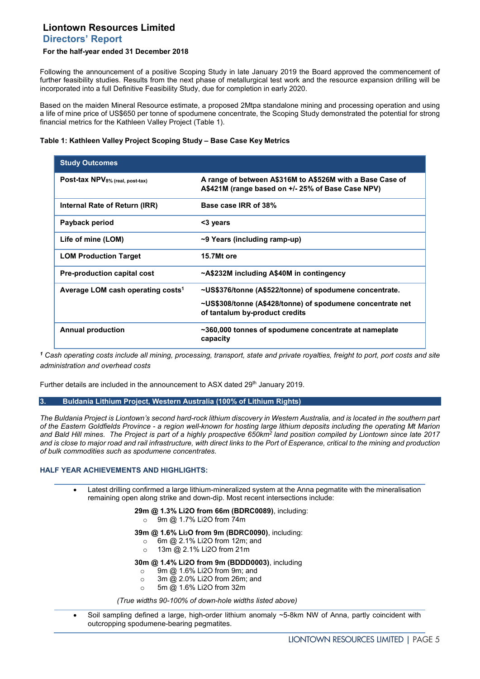## **For the half-year ended 31 December 2018**

Following the announcement of a positive Scoping Study in late January 2019 the Board approved the commencement of further feasibility studies. Results from the next phase of metallurgical test work and the resource expansion drilling will be incorporated into a full Definitive Feasibility Study, due for completion in early 2020.

Based on the maiden Mineral Resource estimate, a proposed 2Mtpa standalone mining and processing operation and using a life of mine price of US\$650 per tonne of spodumene concentrate, the Scoping Study demonstrated the potential for strong financial metrics for the Kathleen Valley Project (Table 1).

### **Table 1: Kathleen Valley Project Scoping Study – Base Case Key Metrics**

| <b>Study Outcomes</b>                         |                                                                                                                |
|-----------------------------------------------|----------------------------------------------------------------------------------------------------------------|
| Post-tax NPV8% (real, post-tax)               | A range of between A\$316M to A\$526M with a Base Case of<br>A\$421M (range based on +/- 25% of Base Case NPV) |
| Internal Rate of Return (IRR)                 | Base case IRR of 38%                                                                                           |
| Payback period                                | <3 years                                                                                                       |
| Life of mine (LOM)                            | ~9 Years (including ramp-up)                                                                                   |
| <b>LOM Production Target</b>                  | 15.7Mt ore                                                                                                     |
| <b>Pre-production capital cost</b>            | ~A\$232M including A\$40M in contingency                                                                       |
| Average LOM cash operating costs <sup>1</sup> | ~US\$376/tonne (A\$522/tonne) of spodumene concentrate.                                                        |
|                                               | ~US\$308/tonne (A\$428/tonne) of spodumene concentrate net<br>of tantalum by-product credits                   |
| <b>Annual production</b>                      | ~360,000 tonnes of spodumene concentrate at nameplate<br>capacity                                              |

*<sup>1</sup> Cash operating costs include all mining, processing, transport, state and private royalties, freight to port, port costs and site administration and overhead costs* 

Further details are included in the announcement to ASX dated 29<sup>th</sup> January 2019.

**3. Buldania Lithium Project, Western Australia (100% of Lithium Rights)**

*The Buldania Project is Liontown's second hard-rock lithium discovery in Western Australia, and is located in the southern part of the Eastern Goldfields Province - a region well-known for hosting large lithium deposits including the operating Mt Marion and Bald Hill mines. The Project is part of a highly prospective 650km2 land position compiled by Liontown since late 2017 and is close to major road and rail infrastructure, with direct links to the Port of Esperance, critical to the mining and production of bulk commodities such as spodumene concentrates.*

### **HALF YEAR ACHIEVEMENTS AND HIGHLIGHTS:**

• Latest drilling confirmed a large lithium-mineralized system at the Anna pegmatite with the mineralisation remaining open along strike and down-dip. Most recent intersections include:

**29m @ 1.3% Li2O from 66m (BDRC0089)**, including:

o 9m @ 1.7% Li2O from 74m

**39m @ 1.6% Li2O from 9m (BDRC0090)**, including:

- $\circ$  6m @ 2.1% Li2O from 12m; and  $\circ$  13m @ 2.1% Li2O from 21m
- 13m @ 2.1% Li2O from 21m

#### **30m @ 1.4% Li2O from 9m (BDDD0003)**, including

- $\degree$  9m @ 1.6% Li2O from 9m; and  $\degree$  3m @ 2.0% Li2O from 26m; and
- 3m @ 2.0% Li2O from 26m; and
- o 5m @ 1.6% Li2O from 32m

*(True widths 90-100% of down-hole widths listed above)*

• Soil sampling defined a large, high-order lithium anomaly ~5-8km NW of Anna, partly coincident with outcropping spodumene-bearing pegmatites.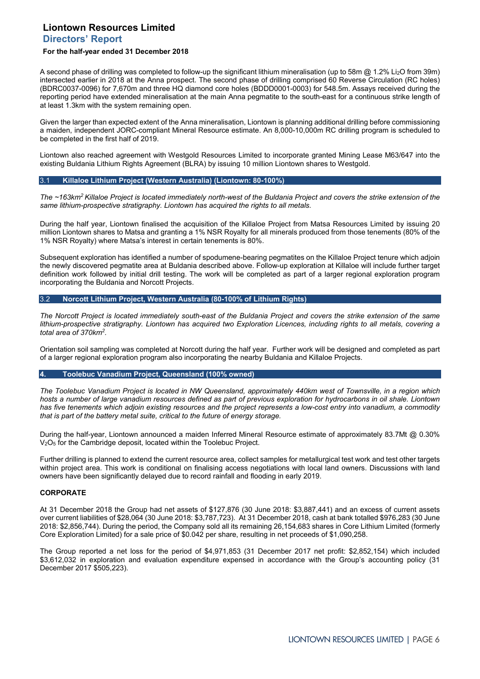#### **For the half-year ended 31 December 2018**

A second phase of drilling was completed to follow-up the significant lithium mineralisation (up to 58m @ 1.2% Li2O from 39m) intersected earlier in 2018 at the Anna prospect. The second phase of drilling comprised 60 Reverse Circulation (RC holes) (BDRC0037-0096) for 7,670m and three HQ diamond core holes (BDDD0001-0003) for 548.5m. Assays received during the reporting period have extended mineralisation at the main Anna pegmatite to the south-east for a continuous strike length of at least 1.3km with the system remaining open.

Given the larger than expected extent of the Anna mineralisation, Liontown is planning additional drilling before commissioning a maiden, independent JORC-compliant Mineral Resource estimate. An 8,000-10,000m RC drilling program is scheduled to be completed in the first half of 2019.

Liontown also reached agreement with Westgold Resources Limited to incorporate granted Mining Lease M63/647 into the existing Buldania Lithium Rights Agreement (BLRA) by issuing 10 million Liontown shares to Westgold.

#### 3.1 **Killaloe Lithium Project (Western Australia) (Liontown: 80-100%)**

*The ~163km2 Killaloe Project is located immediately north-west of the Buldania Project and covers the strike extension of the same lithium-prospective stratigraphy. Liontown has acquired the rights to all metals.*

During the half year, Liontown finalised the acquisition of the Killaloe Project from Matsa Resources Limited by issuing 20 million Liontown shares to Matsa and granting a 1% NSR Royalty for all minerals produced from those tenements (80% of the 1% NSR Royalty) where Matsa's interest in certain tenements is 80%.

Subsequent exploration has identified a number of spodumene-bearing pegmatites on the Killaloe Project tenure which adjoin the newly discovered pegmatite area at Buldania described above. Follow-up exploration at Killaloe will include further target definition work followed by initial drill testing. The work will be completed as part of a larger regional exploration program incorporating the Buldania and Norcott Projects.

#### 3.2 **Norcott Lithium Project, Western Australia (80-100% of Lithium Rights)**

*The Norcott Project is located immediately south-east of the Buldania Project and covers the strike extension of the same lithium-prospective stratigraphy. Liontown has acquired two Exploration Licences, including rights to all metals, covering a total area of 370km2.*

Orientation soil sampling was completed at Norcott during the half year. Further work will be designed and completed as part of a larger regional exploration program also incorporating the nearby Buldania and Killaloe Projects.

### **4. Toolebuc Vanadium Project, Queensland (100% owned)**

*The Toolebuc Vanadium Project is located in NW Queensland, approximately 440km west of Townsville, in a region which hosts a number of large vanadium resources defined as part of previous exploration for hydrocarbons in oil shale. Liontown has five tenements which adjoin existing resources and the project represents a low-cost entry into vanadium, a commodity that is part of the battery metal suite, critical to the future of energy storage.*

During the half-year, Liontown announced a maiden Inferred Mineral Resource estimate of approximately 83.7Mt @ 0.30% V<sub>2</sub>O<sub>5</sub> for the Cambridge deposit, located within the Toolebuc Project.

Further drilling is planned to extend the current resource area, collect samples for metallurgical test work and test other targets within project area. This work is conditional on finalising access negotiations with local land owners. Discussions with land owners have been significantly delayed due to record rainfall and flooding in early 2019.

#### **CORPORATE**

At 31 December 2018 the Group had net assets of \$127,876 (30 June 2018: \$3,887,441) and an excess of current assets over current liabilities of \$28,064 (30 June 2018: \$3,787,723). At 31 December 2018, cash at bank totalled \$976,283 (30 June 2018: \$2,856,744). During the period, the Company sold all its remaining 26,154,683 shares in Core Lithium Limited (formerly Core Exploration Limited) for a sale price of \$0.042 per share, resulting in net proceeds of \$1,090,258.

The Group reported a net loss for the period of \$4,971,853 (31 December 2017 net profit: \$2,852,154) which included \$3,612,032 in exploration and evaluation expenditure expensed in accordance with the Group's accounting policy (31 December 2017 \$505,223).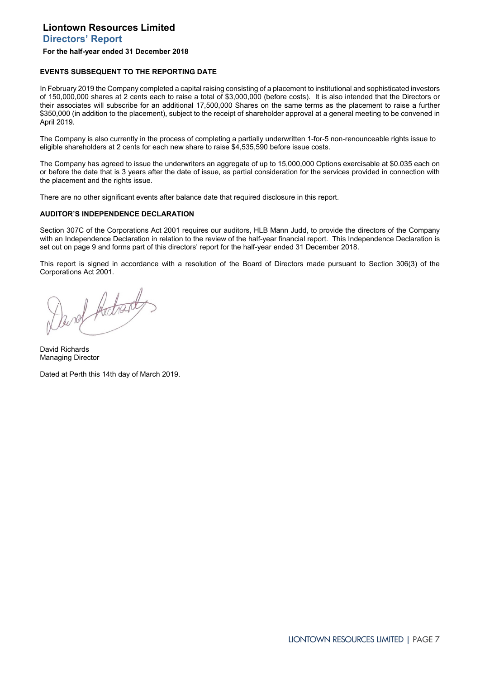## **For the half-year ended 31 December 2018**

#### **EVENTS SUBSEQUENT TO THE REPORTING DATE**

In February 2019 the Company completed a capital raising consisting of a placement to institutional and sophisticated investors of 150,000,000 shares at 2 cents each to raise a total of \$3,000,000 (before costs). It is also intended that the Directors or their associates will subscribe for an additional 17,500,000 Shares on the same terms as the placement to raise a further \$350,000 (in addition to the placement), subject to the receipt of shareholder approval at a general meeting to be convened in April 2019.

The Company is also currently in the process of completing a partially underwritten 1-for-5 non-renounceable rights issue to eligible shareholders at 2 cents for each new share to raise \$4,535,590 before issue costs.

The Company has agreed to issue the underwriters an aggregate of up to 15,000,000 Options exercisable at \$0.035 each on or before the date that is 3 years after the date of issue, as partial consideration for the services provided in connection with the placement and the rights issue.

There are no other significant events after balance date that required disclosure in this report.

#### **AUDITOR'S INDEPENDENCE DECLARATION**

Section 307C of the Corporations Act 2001 requires our auditors, HLB Mann Judd, to provide the directors of the Company with an Independence Declaration in relation to the review of the half-year financial report. This Independence Declaration is set out on page 9 and forms part of this directors' report for the half-year ended 31 December 2018.

This report is signed in accordance with a resolution of the Board of Directors made pursuant to Section 306(3) of the Corporations Act 2001.

Devot Adrenty.

David Richards Managing Director

Dated at Perth this 14th day of March 2019.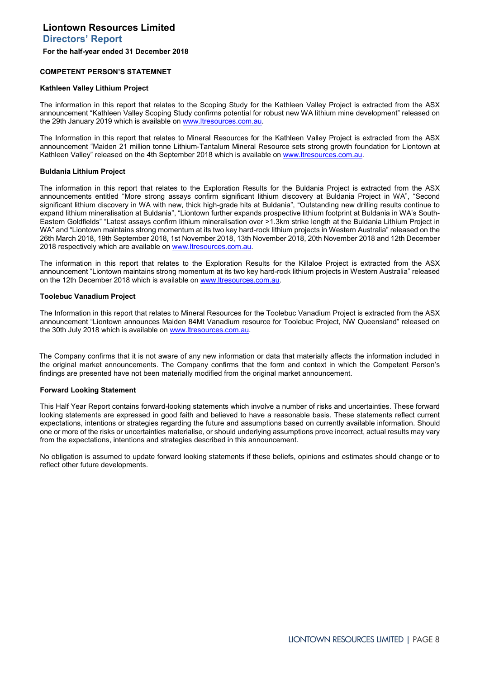#### **COMPETENT PERSON'S STATEMNET**

#### **Kathleen Valley Lithium Project**

The information in this report that relates to the Scoping Study for the Kathleen Valley Project is extracted from the ASX announcement "Kathleen Valley Scoping Study confirms potential for robust new WA lithium mine development" released on the 29th January 2019 which is available on www.ltresources.com.au.

The Information in this report that relates to Mineral Resources for the Kathleen Valley Project is extracted from the ASX announcement "Maiden 21 million tonne Lithium-Tantalum Mineral Resource sets strong growth foundation for Liontown at Kathleen Valley" released on the 4th September 2018 which is available on [www.ltresources.com.au.](http://www.ltresources.com.au/)

#### **Buldania Lithium Project**

The information in this report that relates to the Exploration Results for the Buldania Project is extracted from the ASX announcements entitled "More strong assays confirm significant lithium discovery at Buldania Project in WA", "Second significant lithium discovery in WA with new, thick high-grade hits at Buldania", "Outstanding new drilling results continue to expand lithium mineralisation at Buldania", "Liontown further expands prospective lithium footprint at Buldania in WA's South-Eastern Goldfields" "Latest assays confirm lithium mineralisation over >1.3km strike length at the Buldania Lithium Project in WA" and "Liontown maintains strong momentum at its two key hard-rock lithium projects in Western Australia" released on the 26th March 2018, 19th September 2018, 1st November 2018, 13th November 2018, 20th November 2018 and 12th December 2018 respectively which are available on www.ltresources.com.au.

The information in this report that relates to the Exploration Results for the Killaloe Project is extracted from the ASX announcement "Liontown maintains strong momentum at its two key hard-rock lithium projects in Western Australia" released on the 12th December 2018 which is available on www.ltresources.com.au.

#### **Toolebuc Vanadium Project**

The Information in this report that relates to Mineral Resources for the Toolebuc Vanadium Project is extracted from the ASX announcement "Liontown announces Maiden 84Mt Vanadium resource for Toolebuc Project, NW Queensland" released on the 30th July 2018 which is available o[n www.ltresources.com.au.](http://www.ltresources.com.au/)

The Company confirms that it is not aware of any new information or data that materially affects the information included in the original market announcements. The Company confirms that the form and context in which the Competent Person's findings are presented have not been materially modified from the original market announcement.

#### **Forward Looking Statement**

This Half Year Report contains forward-looking statements which involve a number of risks and uncertainties. These forward looking statements are expressed in good faith and believed to have a reasonable basis. These statements reflect current expectations, intentions or strategies regarding the future and assumptions based on currently available information. Should one or more of the risks or uncertainties materialise, or should underlying assumptions prove incorrect, actual results may vary from the expectations, intentions and strategies described in this announcement.

No obligation is assumed to update forward looking statements if these beliefs, opinions and estimates should change or to reflect other future developments.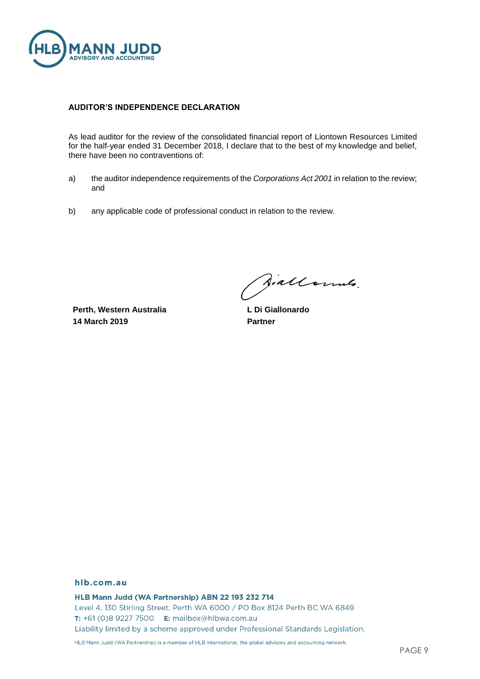

### **AUDITOR'S INDEPENDENCE DECLARATION**

As lead auditor for the review of the consolidated financial report of Liontown Resources Limited for the half-year ended 31 December 2018, I declare that to the best of my knowledge and belief, there have been no contraventions of:

- a) the auditor independence requirements of the *Corporations Act 2001* in relation to the review; and
- b) any applicable code of professional conduct in relation to the review.

**Perth, Western Australia 14 March 2019**

Aiallonnes.

**L Di Giallonardo Partner**

### hlb.com.au

HLB Mann Judd (WA Partnership) ABN 22 193 232 714 Level 4, 130 Stirling Street, Perth WA 6000 / PO Box 8124 Perth BC WA 6849 T: +61 (0)8 9227 7500 E: mailbox@hlbwa.com.au Liability limited by a scheme approved under Professional Standards Legislation.

HLB Mann Judd (WA Partnership) is a member of HLB International, the global advisory and accounting network.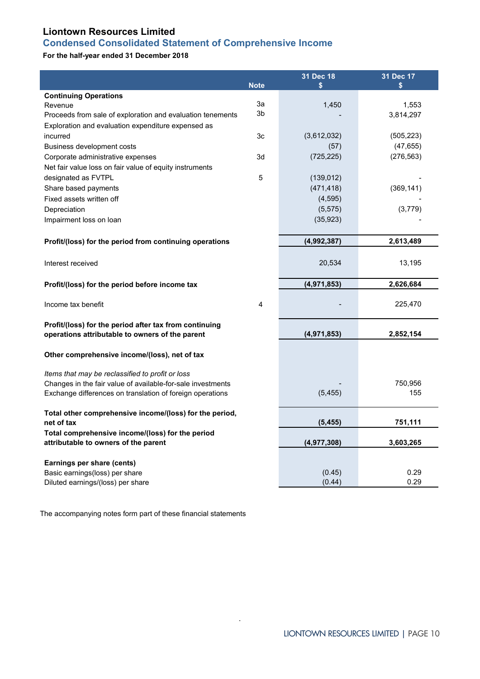# <span id="page-9-0"></span>**Liontown Resources Limited Condensed Consolidated Statement of Comprehensive Income**

## **For the half-year ended 31 December 2018**

| <b>Continuing Operations</b><br>За<br>1,450<br>1,553<br>Revenue<br>3b<br>3,814,297<br>Proceeds from sale of exploration and evaluation tenements<br>Exploration and evaluation expenditure expensed as<br>incurred<br>3c<br>(3,612,032)<br>(505, 223)<br>(47, 655)<br>Business development costs<br>(57)<br>(276, 563)<br>3d<br>(725, 225)<br>Corporate administrative expenses<br>Net fair value loss on fair value of equity instruments<br>designated as FVTPL<br>5<br>(139, 012)<br>(471, 418)<br>(369, 141)<br>Share based payments<br>Fixed assets written off<br>(4, 595)<br>(5, 575)<br>Depreciation<br>(3,779)<br>(35, 923)<br>Impairment loss on loan<br>Profit/(loss) for the period from continuing operations<br>(4,992,387)<br>2,613,489<br>20,534<br>13,195<br>Interest received<br>(4,971,853)<br>2,626,684<br>Profit/(loss) for the period before income tax<br>4<br>225,470<br>Income tax benefit<br>Profit/(loss) for the period after tax from continuing<br>operations attributable to owners of the parent<br>(4,971,853)<br>2,852,154<br>Other comprehensive income/(loss), net of tax<br>Items that may be reclassified to profit or loss<br>750,956<br>Changes in the fair value of available-for-sale investments<br>155<br>Exchange differences on translation of foreign operations<br>(5, 455)<br>Total other comprehensive income/(loss) for the period,<br>(5, 455)<br>751,111<br>net of tax<br>Total comprehensive income/(loss) for the period<br>(4,977,308)<br>3,603,265<br>attributable to owners of the parent<br>Earnings per share (cents)<br>0.29<br>Basic earnings(loss) per share<br>(0.45)<br>(0.44)<br>0.29<br>Diluted earnings/(loss) per share | <b>Note</b> | 31 Dec 18<br>S | 31 Dec 17<br>\$ |
|----------------------------------------------------------------------------------------------------------------------------------------------------------------------------------------------------------------------------------------------------------------------------------------------------------------------------------------------------------------------------------------------------------------------------------------------------------------------------------------------------------------------------------------------------------------------------------------------------------------------------------------------------------------------------------------------------------------------------------------------------------------------------------------------------------------------------------------------------------------------------------------------------------------------------------------------------------------------------------------------------------------------------------------------------------------------------------------------------------------------------------------------------------------------------------------------------------------------------------------------------------------------------------------------------------------------------------------------------------------------------------------------------------------------------------------------------------------------------------------------------------------------------------------------------------------------------------------------------------------------------------------------------------------------------------------------|-------------|----------------|-----------------|
|                                                                                                                                                                                                                                                                                                                                                                                                                                                                                                                                                                                                                                                                                                                                                                                                                                                                                                                                                                                                                                                                                                                                                                                                                                                                                                                                                                                                                                                                                                                                                                                                                                                                                              |             |                |                 |
|                                                                                                                                                                                                                                                                                                                                                                                                                                                                                                                                                                                                                                                                                                                                                                                                                                                                                                                                                                                                                                                                                                                                                                                                                                                                                                                                                                                                                                                                                                                                                                                                                                                                                              |             |                |                 |
|                                                                                                                                                                                                                                                                                                                                                                                                                                                                                                                                                                                                                                                                                                                                                                                                                                                                                                                                                                                                                                                                                                                                                                                                                                                                                                                                                                                                                                                                                                                                                                                                                                                                                              |             |                |                 |
|                                                                                                                                                                                                                                                                                                                                                                                                                                                                                                                                                                                                                                                                                                                                                                                                                                                                                                                                                                                                                                                                                                                                                                                                                                                                                                                                                                                                                                                                                                                                                                                                                                                                                              |             |                |                 |
|                                                                                                                                                                                                                                                                                                                                                                                                                                                                                                                                                                                                                                                                                                                                                                                                                                                                                                                                                                                                                                                                                                                                                                                                                                                                                                                                                                                                                                                                                                                                                                                                                                                                                              |             |                |                 |
|                                                                                                                                                                                                                                                                                                                                                                                                                                                                                                                                                                                                                                                                                                                                                                                                                                                                                                                                                                                                                                                                                                                                                                                                                                                                                                                                                                                                                                                                                                                                                                                                                                                                                              |             |                |                 |
|                                                                                                                                                                                                                                                                                                                                                                                                                                                                                                                                                                                                                                                                                                                                                                                                                                                                                                                                                                                                                                                                                                                                                                                                                                                                                                                                                                                                                                                                                                                                                                                                                                                                                              |             |                |                 |
|                                                                                                                                                                                                                                                                                                                                                                                                                                                                                                                                                                                                                                                                                                                                                                                                                                                                                                                                                                                                                                                                                                                                                                                                                                                                                                                                                                                                                                                                                                                                                                                                                                                                                              |             |                |                 |
|                                                                                                                                                                                                                                                                                                                                                                                                                                                                                                                                                                                                                                                                                                                                                                                                                                                                                                                                                                                                                                                                                                                                                                                                                                                                                                                                                                                                                                                                                                                                                                                                                                                                                              |             |                |                 |
|                                                                                                                                                                                                                                                                                                                                                                                                                                                                                                                                                                                                                                                                                                                                                                                                                                                                                                                                                                                                                                                                                                                                                                                                                                                                                                                                                                                                                                                                                                                                                                                                                                                                                              |             |                |                 |
|                                                                                                                                                                                                                                                                                                                                                                                                                                                                                                                                                                                                                                                                                                                                                                                                                                                                                                                                                                                                                                                                                                                                                                                                                                                                                                                                                                                                                                                                                                                                                                                                                                                                                              |             |                |                 |
|                                                                                                                                                                                                                                                                                                                                                                                                                                                                                                                                                                                                                                                                                                                                                                                                                                                                                                                                                                                                                                                                                                                                                                                                                                                                                                                                                                                                                                                                                                                                                                                                                                                                                              |             |                |                 |
|                                                                                                                                                                                                                                                                                                                                                                                                                                                                                                                                                                                                                                                                                                                                                                                                                                                                                                                                                                                                                                                                                                                                                                                                                                                                                                                                                                                                                                                                                                                                                                                                                                                                                              |             |                |                 |
|                                                                                                                                                                                                                                                                                                                                                                                                                                                                                                                                                                                                                                                                                                                                                                                                                                                                                                                                                                                                                                                                                                                                                                                                                                                                                                                                                                                                                                                                                                                                                                                                                                                                                              |             |                |                 |
|                                                                                                                                                                                                                                                                                                                                                                                                                                                                                                                                                                                                                                                                                                                                                                                                                                                                                                                                                                                                                                                                                                                                                                                                                                                                                                                                                                                                                                                                                                                                                                                                                                                                                              |             |                |                 |
|                                                                                                                                                                                                                                                                                                                                                                                                                                                                                                                                                                                                                                                                                                                                                                                                                                                                                                                                                                                                                                                                                                                                                                                                                                                                                                                                                                                                                                                                                                                                                                                                                                                                                              |             |                |                 |
|                                                                                                                                                                                                                                                                                                                                                                                                                                                                                                                                                                                                                                                                                                                                                                                                                                                                                                                                                                                                                                                                                                                                                                                                                                                                                                                                                                                                                                                                                                                                                                                                                                                                                              |             |                |                 |
|                                                                                                                                                                                                                                                                                                                                                                                                                                                                                                                                                                                                                                                                                                                                                                                                                                                                                                                                                                                                                                                                                                                                                                                                                                                                                                                                                                                                                                                                                                                                                                                                                                                                                              |             |                |                 |
|                                                                                                                                                                                                                                                                                                                                                                                                                                                                                                                                                                                                                                                                                                                                                                                                                                                                                                                                                                                                                                                                                                                                                                                                                                                                                                                                                                                                                                                                                                                                                                                                                                                                                              |             |                |                 |
|                                                                                                                                                                                                                                                                                                                                                                                                                                                                                                                                                                                                                                                                                                                                                                                                                                                                                                                                                                                                                                                                                                                                                                                                                                                                                                                                                                                                                                                                                                                                                                                                                                                                                              |             |                |                 |
|                                                                                                                                                                                                                                                                                                                                                                                                                                                                                                                                                                                                                                                                                                                                                                                                                                                                                                                                                                                                                                                                                                                                                                                                                                                                                                                                                                                                                                                                                                                                                                                                                                                                                              |             |                |                 |
|                                                                                                                                                                                                                                                                                                                                                                                                                                                                                                                                                                                                                                                                                                                                                                                                                                                                                                                                                                                                                                                                                                                                                                                                                                                                                                                                                                                                                                                                                                                                                                                                                                                                                              |             |                |                 |
|                                                                                                                                                                                                                                                                                                                                                                                                                                                                                                                                                                                                                                                                                                                                                                                                                                                                                                                                                                                                                                                                                                                                                                                                                                                                                                                                                                                                                                                                                                                                                                                                                                                                                              |             |                |                 |
|                                                                                                                                                                                                                                                                                                                                                                                                                                                                                                                                                                                                                                                                                                                                                                                                                                                                                                                                                                                                                                                                                                                                                                                                                                                                                                                                                                                                                                                                                                                                                                                                                                                                                              |             |                |                 |
|                                                                                                                                                                                                                                                                                                                                                                                                                                                                                                                                                                                                                                                                                                                                                                                                                                                                                                                                                                                                                                                                                                                                                                                                                                                                                                                                                                                                                                                                                                                                                                                                                                                                                              |             |                |                 |
|                                                                                                                                                                                                                                                                                                                                                                                                                                                                                                                                                                                                                                                                                                                                                                                                                                                                                                                                                                                                                                                                                                                                                                                                                                                                                                                                                                                                                                                                                                                                                                                                                                                                                              |             |                |                 |
|                                                                                                                                                                                                                                                                                                                                                                                                                                                                                                                                                                                                                                                                                                                                                                                                                                                                                                                                                                                                                                                                                                                                                                                                                                                                                                                                                                                                                                                                                                                                                                                                                                                                                              |             |                |                 |
|                                                                                                                                                                                                                                                                                                                                                                                                                                                                                                                                                                                                                                                                                                                                                                                                                                                                                                                                                                                                                                                                                                                                                                                                                                                                                                                                                                                                                                                                                                                                                                                                                                                                                              |             |                |                 |
|                                                                                                                                                                                                                                                                                                                                                                                                                                                                                                                                                                                                                                                                                                                                                                                                                                                                                                                                                                                                                                                                                                                                                                                                                                                                                                                                                                                                                                                                                                                                                                                                                                                                                              |             |                |                 |

.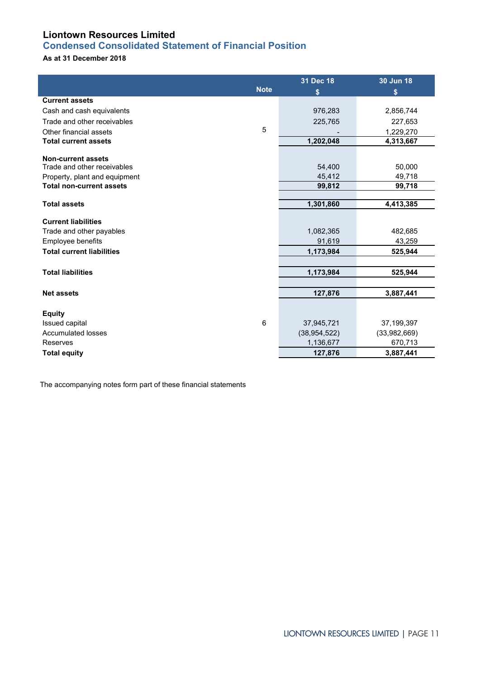# <span id="page-10-0"></span>**Condensed Consolidated Statement of Financial Position**

# **As at 31 December 2018**

|                                             |             | 31 Dec 18                    | 30 Jun 18                  |
|---------------------------------------------|-------------|------------------------------|----------------------------|
|                                             | <b>Note</b> | \$                           | \$                         |
| <b>Current assets</b>                       |             |                              |                            |
| Cash and cash equivalents                   |             | 976,283                      | 2,856,744                  |
| Trade and other receivables                 |             | 225,765                      | 227,653                    |
| Other financial assets                      | 5           |                              | 1,229,270                  |
| <b>Total current assets</b>                 |             | 1,202,048                    | 4,313,667                  |
| <b>Non-current assets</b>                   |             |                              |                            |
| Trade and other receivables                 |             | 54,400                       | 50.000                     |
| Property, plant and equipment               |             | 45,412                       | 49,718                     |
| <b>Total non-current assets</b>             |             | 99,812                       | 99,718                     |
|                                             |             |                              |                            |
| <b>Total assets</b>                         |             | 1,301,860                    | 4,413,385                  |
| <b>Current liabilities</b>                  |             |                              |                            |
| Trade and other payables                    |             | 1,082,365                    | 482,685                    |
| Employee benefits                           |             | 91,619                       | 43,259                     |
| <b>Total current liabilities</b>            |             | 1,173,984                    | 525,944                    |
|                                             |             |                              |                            |
| <b>Total liabilities</b>                    |             | 1,173,984                    | 525,944                    |
|                                             |             |                              |                            |
| <b>Net assets</b>                           |             | 127,876                      | 3,887,441                  |
|                                             |             |                              |                            |
| <b>Equity</b>                               |             |                              |                            |
| Issued capital<br><b>Accumulated losses</b> | $\,6\,$     | 37,945,721<br>(38, 954, 522) | 37,199,397<br>(33,982,669) |
| Reserves                                    |             | 1,136,677                    | 670,713                    |
|                                             |             | 127,876                      | 3,887,441                  |
| <b>Total equity</b>                         |             |                              |                            |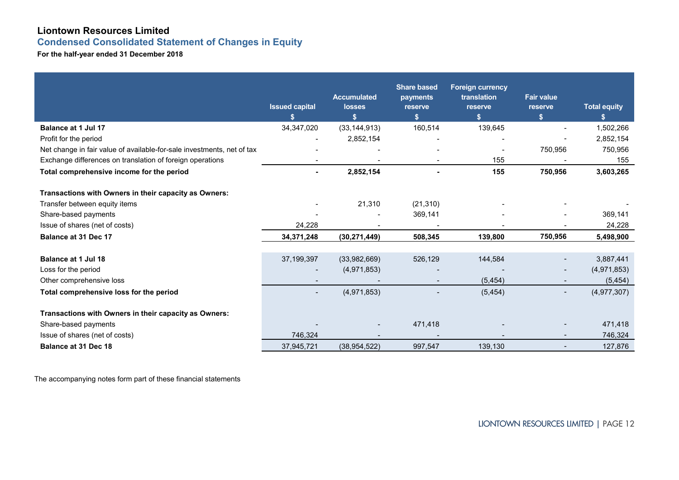**Condensed Consolidated Statement of Changes in Equity**

**For the half-year ended 31 December 2018**

<span id="page-11-0"></span>

|                                                                        | <b>Issued capital</b><br>\$ | <b>Accumulated</b><br>losses<br>S | <b>Share based</b><br>payments<br>reserve<br>$\boldsymbol{\$}$ | <b>Foreign currency</b><br>translation<br>reserve<br>\$ | <b>Fair value</b><br>reserve<br>S. | <b>Total equity</b><br>S. |
|------------------------------------------------------------------------|-----------------------------|-----------------------------------|----------------------------------------------------------------|---------------------------------------------------------|------------------------------------|---------------------------|
| <b>Balance at 1 Jul 17</b>                                             | 34,347,020                  | (33, 144, 913)                    | 160,514                                                        | 139,645                                                 | $\blacksquare$                     | 1,502,266                 |
| Profit for the period                                                  |                             | 2,852,154                         |                                                                |                                                         |                                    | 2,852,154                 |
| Net change in fair value of available-for-sale investments, net of tax |                             |                                   |                                                                |                                                         | 750,956                            | 750,956                   |
| Exchange differences on translation of foreign operations              |                             |                                   |                                                                | 155                                                     |                                    | 155                       |
| Total comprehensive income for the period                              |                             | 2,852,154                         |                                                                | 155                                                     | 750,956                            | 3,603,265                 |
| Transactions with Owners in their capacity as Owners:                  |                             |                                   |                                                                |                                                         |                                    |                           |
| Transfer between equity items                                          |                             | 21,310                            | (21, 310)                                                      |                                                         |                                    |                           |
| Share-based payments                                                   |                             |                                   | 369,141                                                        |                                                         |                                    | 369,141                   |
| Issue of shares (net of costs)                                         | 24,228                      |                                   |                                                                |                                                         |                                    | 24,228                    |
| <b>Balance at 31 Dec 17</b>                                            | 34, 371, 248                | (30, 271, 449)                    | 508,345                                                        | 139,800                                                 | 750,956                            | 5,498,900                 |
| <b>Balance at 1 Jul 18</b>                                             | 37,199,397                  | (33,982,669)                      | 526,129                                                        | 144,584                                                 | $\overline{\phantom{a}}$           | 3,887,441                 |
| Loss for the period                                                    |                             | (4,971,853)                       |                                                                |                                                         | $\overline{\phantom{a}}$           | (4,971,853)               |
| Other comprehensive loss                                               |                             |                                   |                                                                | (5, 454)                                                | $\overline{\phantom{a}}$           | (5, 454)                  |
| Total comprehensive loss for the period                                | $\blacksquare$              | (4,971,853)                       |                                                                | (5, 454)                                                | $\overline{\phantom{a}}$           | (4,977,307)               |
| Transactions with Owners in their capacity as Owners:                  |                             |                                   |                                                                |                                                         |                                    |                           |
| Share-based payments                                                   |                             |                                   | 471,418                                                        |                                                         |                                    | 471,418                   |
| Issue of shares (net of costs)                                         | 746.324                     |                                   |                                                                |                                                         |                                    | 746,324                   |
| <b>Balance at 31 Dec 18</b>                                            | 37,945,721                  | (38, 954, 522)                    | 997,547                                                        | 139,130                                                 |                                    | 127,876                   |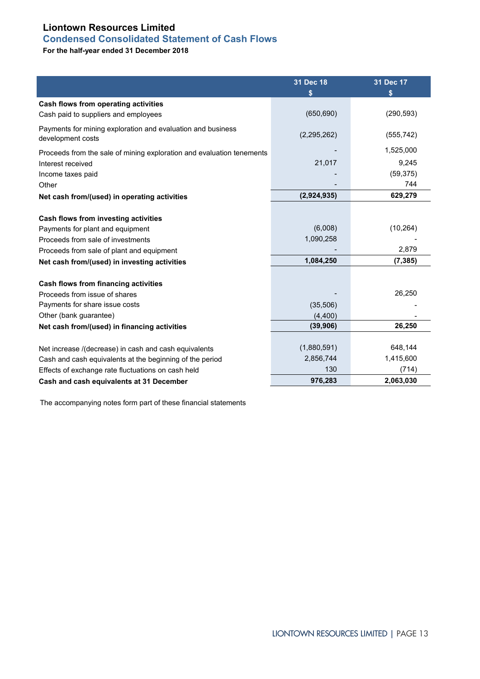# <span id="page-12-0"></span>**Condensed Consolidated Statement of Cash Flows**

**For the half-year ended 31 December 2018**

|                                                                                  | 31 Dec 18<br>\$ | 31 Dec 17  |
|----------------------------------------------------------------------------------|-----------------|------------|
| Cash flows from operating activities                                             |                 |            |
| Cash paid to suppliers and employees                                             | (650, 690)      | (290, 593) |
| Payments for mining exploration and evaluation and business<br>development costs | (2,295,262)     | (555, 742) |
| Proceeds from the sale of mining exploration and evaluation tenements            |                 | 1,525,000  |
| Interest received                                                                | 21,017          | 9,245      |
| Income taxes paid                                                                |                 | (59, 375)  |
| Other                                                                            |                 | 744        |
| Net cash from/(used) in operating activities                                     | (2,924,935)     | 629,279    |
|                                                                                  |                 |            |
| Cash flows from investing activities                                             |                 |            |
| Payments for plant and equipment                                                 | (6,008)         | (10, 264)  |
| Proceeds from sale of investments                                                | 1,090,258       |            |
| Proceeds from sale of plant and equipment                                        |                 | 2,879      |
| Net cash from/(used) in investing activities                                     | 1,084,250       | (7, 385)   |
|                                                                                  |                 |            |
| Cash flows from financing activities                                             |                 |            |
| Proceeds from issue of shares                                                    |                 | 26,250     |
| Payments for share issue costs                                                   | (35,506)        |            |
| Other (bank guarantee)                                                           | (4,400)         |            |
| Net cash from/(used) in financing activities                                     | (39, 906)       | 26,250     |
|                                                                                  |                 |            |
| Net increase /(decrease) in cash and cash equivalents                            | (1,880,591)     | 648,144    |
| Cash and cash equivalents at the beginning of the period                         | 2,856,744       | 1,415,600  |
| Effects of exchange rate fluctuations on cash held                               | 130             | (714)      |
| Cash and cash equivalents at 31 December                                         | 976,283         | 2,063,030  |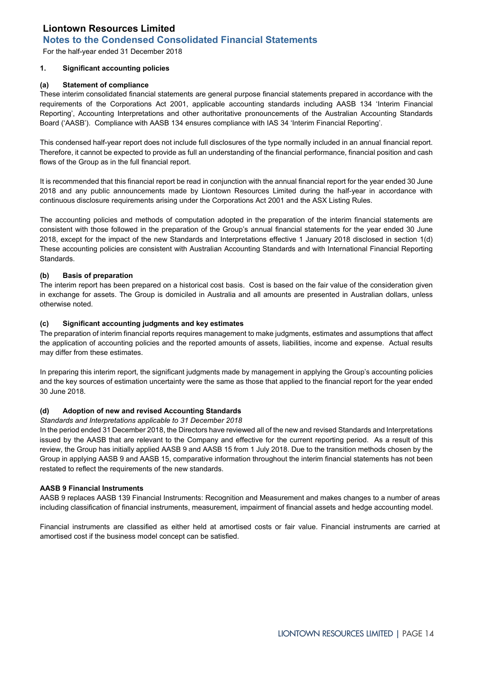<span id="page-13-0"></span>For the half-year ended 31 December 2018

### **1. Significant accounting policies**

## **(a) Statement of compliance**

These interim consolidated financial statements are general purpose financial statements prepared in accordance with the requirements of the Corporations Act 2001, applicable accounting standards including AASB 134 'Interim Financial Reporting', Accounting Interpretations and other authoritative pronouncements of the Australian Accounting Standards Board ('AASB'). Compliance with AASB 134 ensures compliance with IAS 34 'Interim Financial Reporting'.

This condensed half-year report does not include full disclosures of the type normally included in an annual financial report. Therefore, it cannot be expected to provide as full an understanding of the financial performance, financial position and cash flows of the Group as in the full financial report.

It is recommended that this financial report be read in conjunction with the annual financial report for the year ended 30 June 2018 and any public announcements made by Liontown Resources Limited during the half-year in accordance with continuous disclosure requirements arising under the Corporations Act 2001 and the ASX Listing Rules.

The accounting policies and methods of computation adopted in the preparation of the interim financial statements are consistent with those followed in the preparation of the Group's annual financial statements for the year ended 30 June 2018, except for the impact of the new Standards and Interpretations effective 1 January 2018 disclosed in section 1(d) These accounting policies are consistent with Australian Accounting Standards and with International Financial Reporting Standards.

### **(b) Basis of preparation**

The interim report has been prepared on a historical cost basis. Cost is based on the fair value of the consideration given in exchange for assets. The Group is domiciled in Australia and all amounts are presented in Australian dollars, unless otherwise noted.

### **(c) Significant accounting judgments and key estimates**

The preparation of interim financial reports requires management to make judgments, estimates and assumptions that affect the application of accounting policies and the reported amounts of assets, liabilities, income and expense. Actual results may differ from these estimates.

In preparing this interim report, the significant judgments made by management in applying the Group's accounting policies and the key sources of estimation uncertainty were the same as those that applied to the financial report for the year ended 30 June 2018.

### **(d) Adoption of new and revised Accounting Standards**

### *Standards and Interpretations applicable to 31 December 2018*

In the period ended 31 December 2018, the Directors have reviewed all of the new and revised Standards and Interpretations issued by the AASB that are relevant to the Company and effective for the current reporting period. As a result of this review, the Group has initially applied AASB 9 and AASB 15 from 1 July 2018. Due to the transition methods chosen by the Group in applying AASB 9 and AASB 15, comparative information throughout the interim financial statements has not been restated to reflect the requirements of the new standards.

### **AASB 9 Financial Instruments**

AASB 9 replaces AASB 139 Financial Instruments: Recognition and Measurement and makes changes to a number of areas including classification of financial instruments, measurement, impairment of financial assets and hedge accounting model.

Financial instruments are classified as either held at amortised costs or fair value. Financial instruments are carried at amortised cost if the business model concept can be satisfied.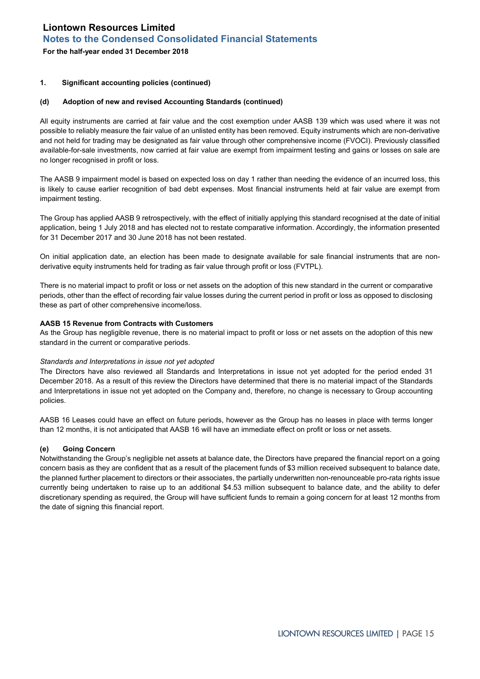**For the half-year ended 31 December 2018**

### **1. Significant accounting policies (continued)**

### **(d) Adoption of new and revised Accounting Standards (continued)**

All equity instruments are carried at fair value and the cost exemption under AASB 139 which was used where it was not possible to reliably measure the fair value of an unlisted entity has been removed. Equity instruments which are non-derivative and not held for trading may be designated as fair value through other comprehensive income (FVOCI). Previously classified available-for-sale investments, now carried at fair value are exempt from impairment testing and gains or losses on sale are no longer recognised in profit or loss.

The AASB 9 impairment model is based on expected loss on day 1 rather than needing the evidence of an incurred loss, this is likely to cause earlier recognition of bad debt expenses. Most financial instruments held at fair value are exempt from impairment testing.

The Group has applied AASB 9 retrospectively, with the effect of initially applying this standard recognised at the date of initial application, being 1 July 2018 and has elected not to restate comparative information. Accordingly, the information presented for 31 December 2017 and 30 June 2018 has not been restated.

On initial application date, an election has been made to designate available for sale financial instruments that are nonderivative equity instruments held for trading as fair value through profit or loss (FVTPL).

There is no material impact to profit or loss or net assets on the adoption of this new standard in the current or comparative periods, other than the effect of recording fair value losses during the current period in profit or loss as opposed to disclosing these as part of other comprehensive income/loss.

### **AASB 15 Revenue from Contracts with Customers**

As the Group has negligible revenue, there is no material impact to profit or loss or net assets on the adoption of this new standard in the current or comparative periods.

### *Standards and Interpretations in issue not yet adopted*

The Directors have also reviewed all Standards and Interpretations in issue not yet adopted for the period ended 31 December 2018. As a result of this review the Directors have determined that there is no material impact of the Standards and Interpretations in issue not yet adopted on the Company and, therefore, no change is necessary to Group accounting policies.

AASB 16 Leases could have an effect on future periods, however as the Group has no leases in place with terms longer than 12 months, it is not anticipated that AASB 16 will have an immediate effect on profit or loss or net assets.

### **(e) Going Concern**

Notwithstanding the Group's negligible net assets at balance date, the Directors have prepared the financial report on a going concern basis as they are confident that as a result of the placement funds of \$3 million received subsequent to balance date, the planned further placement to directors or their associates, the partially underwritten non-renounceable pro-rata rights issue currently being undertaken to raise up to an additional \$4.53 million subsequent to balance date, and the ability to defer discretionary spending as required, the Group will have sufficient funds to remain a going concern for at least 12 months from the date of signing this financial report.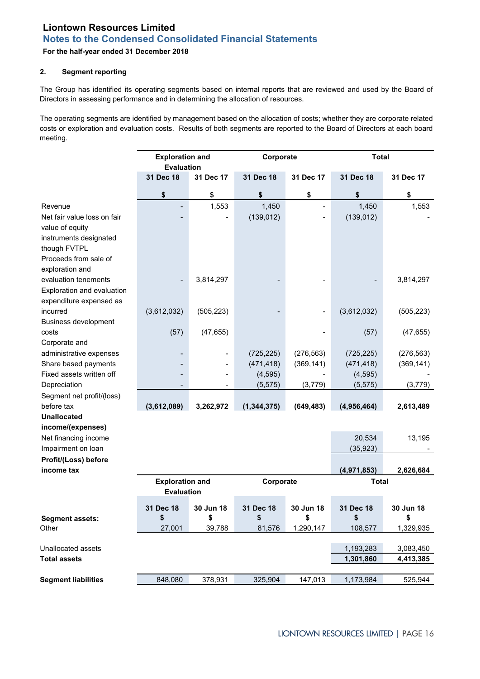## **For the half-year ended 31 December 2018**

## **2. Segment reporting**

The Group has identified its operating segments based on internal reports that are reviewed and used by the Board of Directors in assessing performance and in determining the allocation of resources.

The operating segments are identified by management based on the allocation of costs; whether they are corporate related costs or exploration and evaluation costs. Results of both segments are reported to the Board of Directors at each board meeting.

|                             | <b>Exploration and</b><br><b>Evaluation</b> |            | Corporate     |            | <b>Total</b> |            |
|-----------------------------|---------------------------------------------|------------|---------------|------------|--------------|------------|
|                             | 31 Dec 18                                   | 31 Dec 17  | 31 Dec 18     | 31 Dec 17  | 31 Dec 18    | 31 Dec 17  |
|                             | \$                                          | \$         | \$            | \$         | \$           | \$         |
| Revenue                     |                                             | 1,553      | 1,450         |            | 1,450        | 1,553      |
| Net fair value loss on fair |                                             |            | (139, 012)    |            | (139, 012)   |            |
| value of equity             |                                             |            |               |            |              |            |
| instruments designated      |                                             |            |               |            |              |            |
| though FVTPL                |                                             |            |               |            |              |            |
| Proceeds from sale of       |                                             |            |               |            |              |            |
| exploration and             |                                             |            |               |            |              |            |
| evaluation tenements        |                                             | 3,814,297  |               |            |              | 3,814,297  |
| Exploration and evaluation  |                                             |            |               |            |              |            |
| expenditure expensed as     |                                             |            |               |            |              |            |
| incurred                    | (3,612,032)                                 | (505, 223) |               |            | (3,612,032)  | (505, 223) |
| <b>Business development</b> |                                             |            |               |            |              |            |
| costs                       | (57)                                        | (47, 655)  |               |            | (57)         | (47, 655)  |
| Corporate and               |                                             |            |               |            |              |            |
| administrative expenses     |                                             |            | (725, 225)    | (276, 563) | (725, 225)   | (276, 563) |
| Share based payments        |                                             |            | (471, 418)    | (369, 141) | (471, 418)   | (369, 141) |
| Fixed assets written off    |                                             |            | (4, 595)      |            | (4, 595)     |            |
| Depreciation                |                                             |            | (5, 575)      | (3,779)    | (5, 575)     | (3,779)    |
| Segment net profit/(loss)   |                                             |            |               |            |              |            |
| before tax                  | (3,612,089)                                 | 3,262,972  | (1, 344, 375) | (649, 483) | (4,956,464)  | 2,613,489  |
| <b>Unallocated</b>          |                                             |            |               |            |              |            |
| income/(expenses)           |                                             |            |               |            |              |            |
| Net financing income        |                                             |            |               |            | 20,534       | 13,195     |
| Impairment on loan          |                                             |            |               |            | (35, 923)    |            |
| Profit/(Loss) before        |                                             |            |               |            |              |            |
| income tax                  |                                             |            |               |            | (4,971,853)  | 2,626,684  |
|                             | <b>Exploration and</b>                      |            | Corporate     |            | <b>Total</b> |            |
|                             | <b>Evaluation</b>                           |            |               |            |              |            |
|                             | 31 Dec 18                                   | 30 Jun 18  | 31 Dec 18     | 30 Jun 18  | 31 Dec 18    | 30 Jun 18  |
| <b>Segment assets:</b>      | \$                                          | \$         | \$            | \$         | \$           | \$         |
| Other                       | 27,001                                      | 39,788     | 81,576        | 1,290,147  | 108,577      | 1,329,935  |
|                             |                                             |            |               |            |              |            |
| Unallocated assets          |                                             |            |               |            | 1,193,283    | 3,083,450  |
| <b>Total assets</b>         |                                             |            |               |            | 1,301,860    | 4,413,385  |
|                             |                                             |            |               |            |              |            |
| <b>Segment liabilities</b>  | 848,080                                     | 378,931    | 325,904       | 147,013    | 1,173,984    | 525,944    |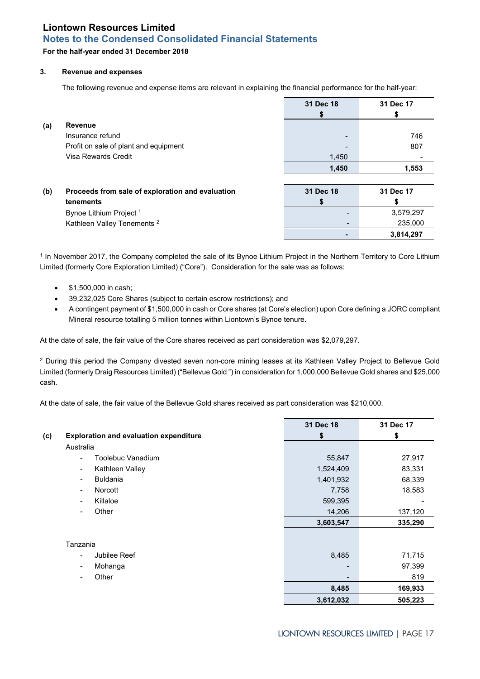## **For the half-year ended 31 December 2018**

### **3. Revenue and expenses**

The following revenue and expense items are relevant in explaining the financial performance for the half-year:

|     |                                                  | 31 Dec 18 | 31 Dec 17 |
|-----|--------------------------------------------------|-----------|-----------|
|     |                                                  |           |           |
| (a) | <b>Revenue</b>                                   |           |           |
|     | Insurance refund                                 |           | 746       |
|     | Profit on sale of plant and equipment            |           | 807       |
|     | Visa Rewards Credit                              | 1,450     |           |
|     |                                                  | 1,450     | 1,553     |
|     |                                                  |           |           |
| (b) | Proceeds from sale of exploration and evaluation | 31 Dec 18 | 31 Dec 17 |
|     | tenements                                        |           |           |
|     | Bynoe Lithium Project <sup>1</sup>               |           | 3,579,297 |
|     | Kathleen Valley Tenements <sup>2</sup>           |           | 235,000   |
|     |                                                  |           | 3,814,297 |

<sup>1</sup> In November 2017, the Company completed the sale of its Bynoe Lithium Project in the Northern Territory to Core Lithium Limited (formerly Core Exploration Limited) ("Core"). Consideration for the sale was as follows:

- \$1,500,000 in cash;
- 39,232,025 Core Shares (subject to certain escrow restrictions); and
- A contingent payment of \$1,500,000 in cash or Core shares (at Core's election) upon Core defining a JORC compliant Mineral resource totalling 5 million tonnes within Liontown's Bynoe tenure.

At the date of sale, the fair value of the Core shares received as part consideration was \$2,079,297.

<sup>2</sup> During this period the Company divested seven non-core mining leases at its Kathleen Valley Project to Bellevue Gold Limited (formerly Draig Resources Limited) ("Bellevue Gold ") in consideration for 1,000,000 Bellevue Gold shares and \$25,000 cash.

At the date of sale, the fair value of the Bellevue Gold shares received as part consideration was \$210,000.

|     |                                                 | 31 Dec 18                | 31 Dec 17 |
|-----|-------------------------------------------------|--------------------------|-----------|
| (c) | <b>Exploration and evaluation expenditure</b>   | \$                       | \$        |
|     | Australia                                       |                          |           |
|     | Toolebuc Vanadium<br>$\overline{\phantom{a}}$   | 55,847                   | 27,917    |
|     | Kathleen Valley<br>$\overline{\phantom{a}}$     | 1,524,409                | 83,331    |
|     | <b>Buldania</b><br>$\qquad \qquad \blacksquare$ | 1,401,932                | 68,339    |
|     | Norcott<br>$\blacksquare$                       | 7,758                    | 18,583    |
|     | Killaloe<br>$\overline{\phantom{a}}$            | 599,395                  |           |
|     | Other<br>$\overline{\phantom{a}}$               | 14,206                   | 137,120   |
|     |                                                 | 3,603,547                | 335,290   |
|     |                                                 |                          |           |
|     | Tanzania                                        |                          |           |
|     | Jubilee Reef<br>$\overline{\phantom{a}}$        | 8,485                    | 71,715    |
|     | Mohanga<br>$\overline{\phantom{a}}$             |                          | 97,399    |
|     | Other<br>$\blacksquare$                         | $\overline{\phantom{a}}$ | 819       |
|     |                                                 | 8,485                    | 169,933   |
|     |                                                 | 3,612,032                | 505,223   |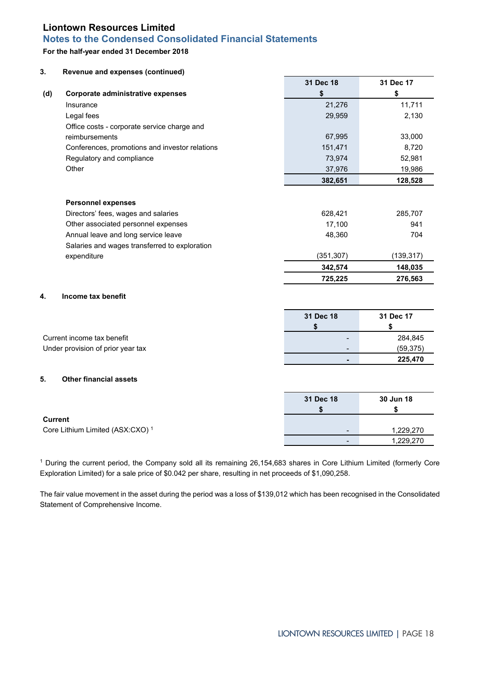# **Notes to the Condensed Consolidated Financial Statements**

## **For the half-year ended 31 December 2018**

| 3.             | Revenue and expenses (continued)                                 |                |            |
|----------------|------------------------------------------------------------------|----------------|------------|
|                |                                                                  | 31 Dec 18      | 31 Dec 17  |
| (d)            | Corporate administrative expenses                                | \$             | \$         |
|                | Insurance                                                        | 21,276         | 11,711     |
|                | Legal fees                                                       | 29,959         | 2,130      |
|                | Office costs - corporate service charge and                      |                |            |
|                | reimbursements                                                   | 67,995         | 33,000     |
|                | Conferences, promotions and investor relations                   | 151,471        | 8,720      |
|                | Regulatory and compliance                                        | 73,974         | 52,981     |
|                | Other                                                            | 37,976         | 19,986     |
|                |                                                                  | 382,651        | 128,528    |
|                |                                                                  |                |            |
|                | <b>Personnel expenses</b><br>Directors' fees, wages and salaries | 628,421        | 285,707    |
|                | Other associated personnel expenses                              | 17,100         | 941        |
|                | Annual leave and long service leave                              | 48,360         | 704        |
|                | Salaries and wages transferred to exploration                    |                |            |
|                | expenditure                                                      | (351, 307)     | (139, 317) |
|                |                                                                  | 342,574        | 148,035    |
|                |                                                                  | 725,225        | 276,563    |
|                |                                                                  |                |            |
| 4.             | Income tax benefit                                               |                |            |
|                |                                                                  | 31 Dec 18      | 31 Dec 17  |
|                |                                                                  | \$             | \$         |
|                | Current income tax benefit                                       |                | 284,845    |
|                | Under provision of prior year tax                                |                | (59, 375)  |
|                |                                                                  | $\blacksquare$ | 225,470    |
| 5.             | <b>Other financial assets</b>                                    |                |            |
|                |                                                                  |                |            |
|                |                                                                  | 31 Dec 18      | 30 Jun 18  |
|                |                                                                  | \$             | \$         |
| <b>Current</b> |                                                                  |                |            |
|                | Core Lithium Limited (ASX:CXO) <sup>1</sup>                      |                | 1,229,270  |
|                |                                                                  |                | 1,229,270  |

<sup>1</sup> During the current period, the Company sold all its remaining 26,154,683 shares in Core Lithium Limited (formerly Core Exploration Limited) for a sale price of \$0.042 per share, resulting in net proceeds of \$1,090,258.

The fair value movement in the asset during the period was a loss of \$139,012 which has been recognised in the Consolidated Statement of Comprehensive Income.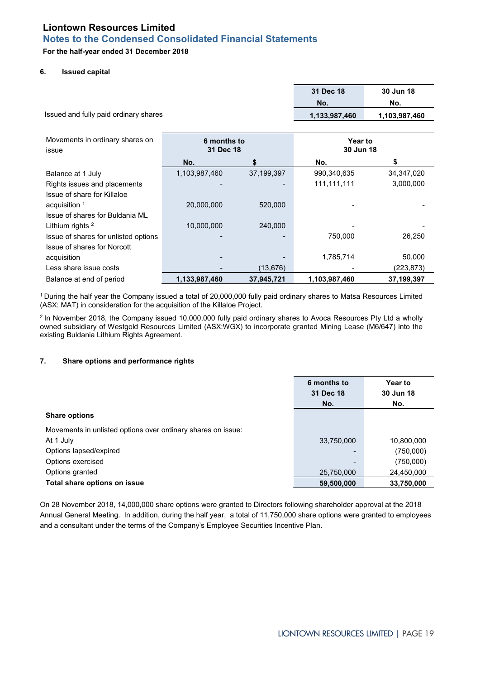# **For the half-year ended 31 December 2018**

### **6. Issued capital**

| Issued and fully paid ordinary shares | 31 Dec 18<br>No.<br>1,133,987,460 | 30 Jun 18<br>No.<br>1,103,987,460 |                |              |
|---------------------------------------|-----------------------------------|-----------------------------------|----------------|--------------|
| Movements in ordinary shares on       | 6 months to                       |                                   | <b>Year to</b> |              |
| issue                                 | 31 Dec 18                         |                                   | 30 Jun 18      |              |
|                                       | No.                               |                                   | No.            |              |
| Balance at 1 July                     | 1,103,987,460                     | 37,199,397                        | 990,340,635    | 34, 347, 020 |
| Rights issues and placements          |                                   |                                   | 111, 111, 111  | 3,000,000    |
| Issue of share for Killaloe           |                                   |                                   |                |              |
| acquisition $1$                       | 20,000,000                        | 520,000                           |                |              |
| Issue of shares for Buldania ML       |                                   |                                   |                |              |
| Lithium rights <sup>2</sup>           | 10,000,000                        | 240,000                           |                |              |
| Issue of shares for unlisted options  |                                   |                                   | 750,000        | 26,250       |
| <b>Issue of shares for Norcott</b>    |                                   |                                   |                |              |
| acquisition                           |                                   |                                   | 1,785,714      | 50,000       |
| Less share issue costs                |                                   | (13, 676)                         |                | (223,873)    |
| Balance at end of period              | 1,133,987,460                     | 37,945,721                        | 1,103,987,460  | 37, 199, 397 |

1 During the half year the Company issued a total of 20,000,000 fully paid ordinary shares to Matsa Resources Limited (ASX: MAT) in consideration for the acquisition of the Killaloe Project.

2 In November 2018, the Company issued 10,000,000 fully paid ordinary shares to Avoca Resources Pty Ltd a wholly owned subsidiary of Westgold Resources Limited (ASX:WGX) to incorporate granted Mining Lease (M6/647) into the existing Buldania Lithium Rights Agreement.

## **7. Share options and performance rights**

|                                                              | 6 months to<br>31 Dec 18<br>No. | <b>Year to</b><br>30 Jun 18<br>No. |
|--------------------------------------------------------------|---------------------------------|------------------------------------|
| <b>Share options</b>                                         |                                 |                                    |
| Movements in unlisted options over ordinary shares on issue: |                                 |                                    |
| At 1 July                                                    | 33,750,000                      | 10,800,000                         |
| Options lapsed/expired                                       | -                               | (750,000)                          |
| Options exercised                                            | -                               | (750,000)                          |
| Options granted                                              | 25,750,000                      | 24,450,000                         |
| Total share options on issue                                 | 59,500,000                      | 33,750,000                         |

On 28 November 2018, 14,000,000 share options were granted to Directors following shareholder approval at the 2018 Annual General Meeting. In addition, during the half year, a total of 11,750,000 share options were granted to employees and a consultant under the terms of the Company's Employee Securities Incentive Plan.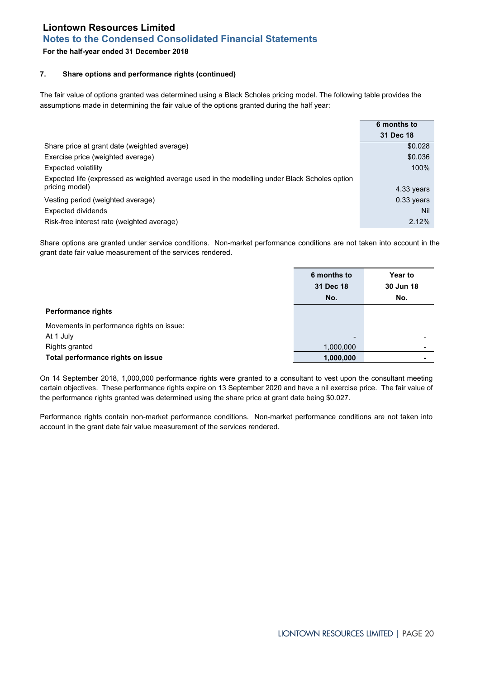# **Notes to the Condensed Consolidated Financial Statements**

# **For the half-year ended 31 December 2018**

# **7. Share options and performance rights (continued)**

The fair value of options granted was determined using a Black Scholes pricing model. The following table provides the assumptions made in determining the fair value of the options granted during the half year:

|                                                                                               | 6 months to  |
|-----------------------------------------------------------------------------------------------|--------------|
|                                                                                               | 31 Dec 18    |
| Share price at grant date (weighted average)                                                  | \$0.028      |
| Exercise price (weighted average)                                                             | \$0.036      |
| Expected volatility                                                                           | 100%         |
| Expected life (expressed as weighted average used in the modelling under Black Scholes option |              |
| pricing model)                                                                                | 4.33 years   |
| Vesting period (weighted average)                                                             | $0.33$ years |
| Expected dividends                                                                            | Nil          |
| Risk-free interest rate (weighted average)                                                    | 2.12%        |

Share options are granted under service conditions. Non-market performance conditions are not taken into account in the grant date fair value measurement of the services rendered.

|                                           | 6 months to<br>31 Dec 18<br>No. | <b>Year to</b><br>30 Jun 18<br>No. |
|-------------------------------------------|---------------------------------|------------------------------------|
| <b>Performance rights</b>                 |                                 |                                    |
| Movements in performance rights on issue: |                                 |                                    |
| At 1 July                                 | $\overline{\phantom{a}}$        |                                    |
| Rights granted                            | 1,000,000                       |                                    |
| Total performance rights on issue         | 1,000,000                       |                                    |

On 14 September 2018, 1,000,000 performance rights were granted to a consultant to vest upon the consultant meeting certain objectives. These performance rights expire on 13 September 2020 and have a nil exercise price. The fair value of the performance rights granted was determined using the share price at grant date being \$0.027.

Performance rights contain non-market performance conditions. Non-market performance conditions are not taken into account in the grant date fair value measurement of the services rendered.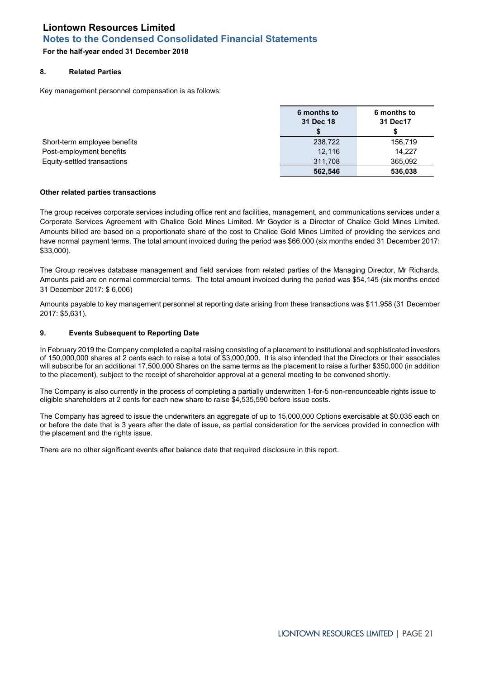## **For the half-year ended 31 December 2018**

#### **8. Related Parties**

Key management personnel compensation is as follows:

|                              | 6 months to<br>31 Dec 18 | 6 months to<br>31 Dec17 |
|------------------------------|--------------------------|-------------------------|
|                              |                          |                         |
| Short-term employee benefits | 238,722                  | 156,719                 |
| Post-employment benefits     | 12.116                   | 14.227                  |
| Equity-settled transactions  | 311.708                  | 365.092                 |
|                              | 562.546                  | 536.038                 |

#### **Other related parties transactions**

The group receives corporate services including office rent and facilities, management, and communications services under a Corporate Services Agreement with Chalice Gold Mines Limited. Mr Goyder is a Director of Chalice Gold Mines Limited. Amounts billed are based on a proportionate share of the cost to Chalice Gold Mines Limited of providing the services and have normal payment terms. The total amount invoiced during the period was \$66,000 (six months ended 31 December 2017: \$33,000).

The Group receives database management and field services from related parties of the Managing Director, Mr Richards. Amounts paid are on normal commercial terms. The total amount invoiced during the period was \$54,145 (six months ended 31 December 2017: \$ 6,006)

Amounts payable to key management personnel at reporting date arising from these transactions was \$11,958 (31 December 2017: \$5,631).

### **9. Events Subsequent to Reporting Date**

In February 2019 the Company completed a capital raising consisting of a placement to institutional and sophisticated investors of 150,000,000 shares at 2 cents each to raise a total of \$3,000,000. It is also intended that the Directors or their associates will subscribe for an additional 17,500,000 Shares on the same terms as the placement to raise a further \$350,000 (in addition to the placement), subject to the receipt of shareholder approval at a general meeting to be convened shortly.

The Company is also currently in the process of completing a partially underwritten 1-for-5 non-renounceable rights issue to eligible shareholders at 2 cents for each new share to raise \$4,535,590 before issue costs.

The Company has agreed to issue the underwriters an aggregate of up to 15,000,000 Options exercisable at \$0.035 each on or before the date that is 3 years after the date of issue, as partial consideration for the services provided in connection with the placement and the rights issue.

There are no other significant events after balance date that required disclosure in this report.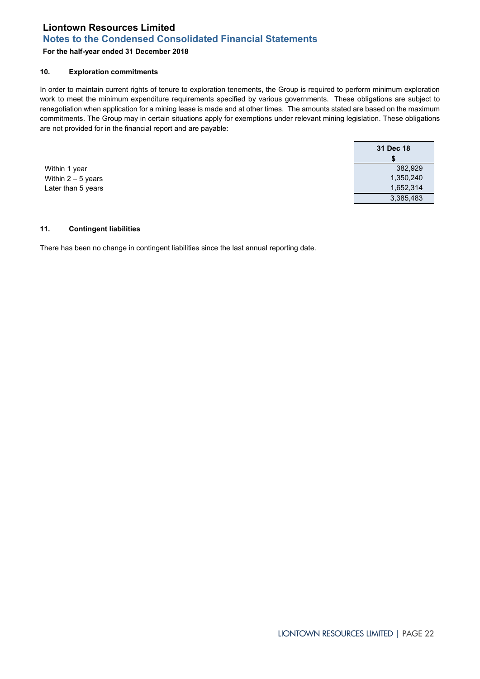## **For the half-year ended 31 December 2018**

#### **10. Exploration commitments**

In order to maintain current rights of tenure to exploration tenements, the Group is required to perform minimum exploration work to meet the minimum expenditure requirements specified by various governments. These obligations are subject to renegotiation when application for a mining lease is made and at other times. The amounts stated are based on the maximum commitments. The Group may in certain situations apply for exemptions under relevant mining legislation. These obligations are not provided for in the financial report and are payable:

Within 1 year Within  $2 - 5$  years Later than 5 years

| 31 Dec 18 |
|-----------|
| S         |
| 382.929   |
| 1,350,240 |
| 1,652,314 |
| 3.385.483 |

#### **11. Contingent liabilities**

There has been no change in contingent liabilities since the last annual reporting date.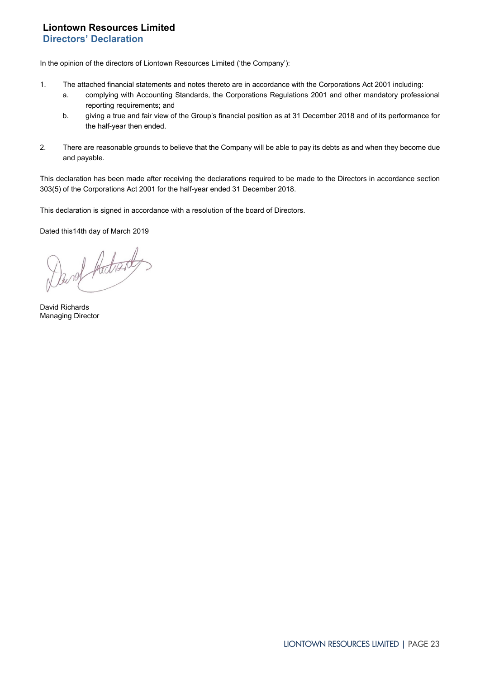## <span id="page-22-0"></span>**Liontown Resources Limited Directors' Declaration**

In the opinion of the directors of Liontown Resources Limited ('the Company'):

- 1. The attached financial statements and notes thereto are in accordance with the Corporations Act 2001 including:
	- a. complying with Accounting Standards, the Corporations Regulations 2001 and other mandatory professional reporting requirements; and
	- b. giving a true and fair view of the Group's financial position as at 31 December 2018 and of its performance for the half-year then ended.
- 2. There are reasonable grounds to believe that the Company will be able to pay its debts as and when they become due and payable.

This declaration has been made after receiving the declarations required to be made to the Directors in accordance section 303(5) of the Corporations Act 2001 for the half-year ended 31 December 2018.

This declaration is signed in accordance with a resolution of the board of Directors.

Dated this14th day of March 2019

Darof Adrady

David Richards Managing Director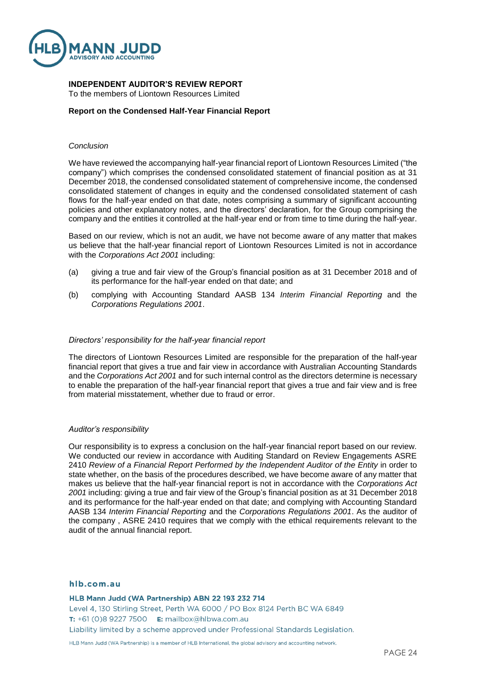

## **INDEPENDENT AUDITOR'S REVIEW REPORT**

To the members of Liontown Resources Limited

## **Report on the Condensed Half-Year Financial Report**

### *Conclusion*

We have reviewed the accompanying half-year financial report of Liontown Resources Limited ("the company") which comprises the condensed consolidated statement of financial position as at 31 December 2018, the condensed consolidated statement of comprehensive income, the condensed consolidated statement of changes in equity and the condensed consolidated statement of cash flows for the half-year ended on that date, notes comprising a summary of significant accounting policies and other explanatory notes, and the directors' declaration, for the Group comprising the company and the entities it controlled at the half-year end or from time to time during the half-year.

Based on our review, which is not an audit, we have not become aware of any matter that makes us believe that the half-year financial report of Liontown Resources Limited is not in accordance with the *Corporations Act 2001* including:

- (a) giving a true and fair view of the Group's financial position as at 31 December 2018 and of its performance for the half-year ended on that date; and
- (b) complying with Accounting Standard AASB 134 *Interim Financial Reporting* and the *Corporations Regulations 2001*.

### *Directors' responsibility for the half-year financial report*

The directors of Liontown Resources Limited are responsible for the preparation of the half-year financial report that gives a true and fair view in accordance with Australian Accounting Standards and the *Corporations Act 2001* and for such internal control as the directors determine is necessary to enable the preparation of the half-year financial report that gives a true and fair view and is free from material misstatement, whether due to fraud or error.

#### *Auditor's responsibility*

Our responsibility is to express a conclusion on the half-year financial report based on our review. We conducted our review in accordance with Auditing Standard on Review Engagements ASRE 2410 *Review of a Financial Report Performed by the Independent Auditor of the Entity* in order to state whether, on the basis of the procedures described, we have become aware of any matter that makes us believe that the half-year financial report is not in accordance with the *Corporations Act 2001* including: giving a true and fair view of the Group's financial position as at 31 December 2018 and its performance for the half-year ended on that date; and complying with Accounting Standard AASB 134 *Interim Financial Reporting* and the *Corporations Regulations 2001*. As the auditor of the company , ASRE 2410 requires that we comply with the ethical requirements relevant to the audit of the annual financial report.

#### hlb.com.au

#### HLB Mann Judd (WA Partnership) ABN 22 193 232 714

Level 4, 130 Stirling Street, Perth WA 6000 / PO Box 8124 Perth BC WA 6849 T:  $+61(0)892277500$  E: mailbox@hlbwa.com.au Liability limited by a scheme approved under Professional Standards Legislation.

HLB Mann Judd (WA Partnership) is a member of HLB International, the global advisory and accounting network.